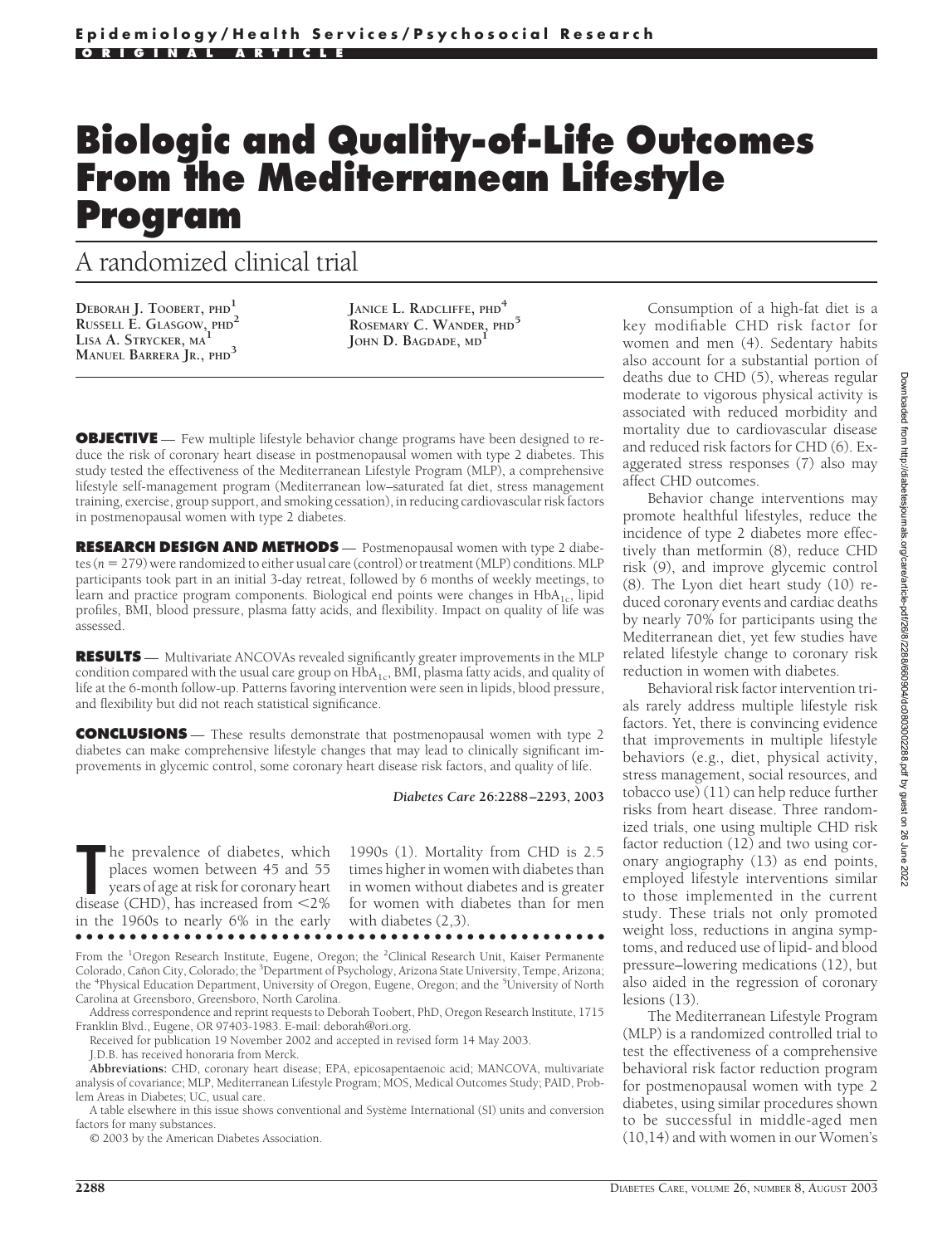# **Biologic and Quality-of-Life Outcomes From the Mediterranean Lifestyle Program**

# A randomized clinical trial

**DEBORAH J. TOOBERT, PHD<sup>1</sup> RUSSELL E. GLASGOW, PHD<sup>2</sup> LISA A. STRYCKER, MA<sup>1</sup> MANUEL BARRERA JR., PHD<sup>3</sup>**

**JANICE L. RADCLIFFE, PHD<sup>4</sup> ROSEMARY C. WANDER, PHD<sup>5</sup> JOHN D. BAGDADE, MD<sup>1</sup>**

**OBJECTIVE** — Few multiple lifestyle behavior change programs have been designed to reduce the risk of coronary heart disease in postmenopausal women with type 2 diabetes. This study tested the effectiveness of the Mediterranean Lifestyle Program (MLP), a comprehensive lifestyle self-management program (Mediterranean low–saturated fat diet, stress management training, exercise, group support, and smoking cessation), in reducing cardiovascular risk factors in postmenopausal women with type 2 diabetes.

**RESEARCH DESIGN AND METHODS** — Postmenopausal women with type 2 diabetes (*n* 279) were randomized to either usual care (control) or treatment (MLP) conditions. MLP participants took part in an initial 3-day retreat, followed by 6 months of weekly meetings, to learn and practice program components. Biological end points were changes in  $HbA_{1c}$ , lipid profiles, BMI, blood pressure, plasma fatty acids, and flexibility. Impact on quality of life was assessed.

**RESULTS** — Multivariate ANCOVAs revealed significantly greater improvements in the MLP condition compared with the usual care group on  $HbA_{1c}$ , BMI, plasma fatty acids, and quality of life at the 6-month follow-up. Patterns favoring intervention were seen in lipids, blood pressure, and flexibility but did not reach statistical significance.

**CONCLUSIONS** — These results demonstrate that postmenopausal women with type 2 diabetes can make comprehensive lifestyle changes that may lead to clinically significant improvements in glycemic control, some coronary heart disease risk factors, and quality of life.

*Diabetes Care* **26:2288 –2293, 2003**

The prevalence of diabetes, which<br>places women between 45 and 55<br>years of age at risk for coronary heart<br>disease (CHD), has increased from <2% he prevalence of diabetes, which places women between 45 and 55 years of age at risk for coronary heart in the 1960s to nearly 6% in the early ●●●●●●●●●●●●●●●●●●●●●●●●●●●●●●●●●●●●●●●●●●●●●●●●●

1990s (1). Mortality from CHD is 2.5 times higher in women with diabetes than in women without diabetes and is greater for women with diabetes than for men with diabetes (2,3).

From the <sup>1</sup>Oregon Research Institute, Eugene, Oregon; the <sup>2</sup>Clinical Research Unit, Kaiser Permanente Colorado, Cañon City, Colorado; the <sup>3</sup>Department of Psychology, Arizona State University, Tempe, Arizona; the <sup>4</sup>Physical Education Department, University of Oregon, Eugene, Oregon; and the <sup>5</sup>University of North Carolina at Greensboro, Greensboro, North Carolina.

Address correspondence and reprint requests to Deborah Toobert, PhD, Oregon Research Institute, 1715 Franklin Blvd., Eugene, OR 97403-1983. E-mail: deborah@ori.org.

Received for publication 19 November 2002 and accepted in revised form 14 May 2003.

J.D.B. has received honoraria from Merck.

**Abbreviations:** CHD, coronary heart disease; EPA, epicosapentaenoic acid; MANCOVA, multivariate analysis of covariance; MLP, Mediterranean Lifestyle Program; MOS, Medical Outcomes Study; PAID, Problem Areas in Diabetes; UC, usual care.

A table elsewhere in this issue shows conventional and Système International (SI) units and conversion factors for many substances.

© 2003 by the American Diabetes Association.

Consumption of a high-fat diet is a key modifiable CHD risk factor for women and men (4). Sedentary habits also account for a substantial portion of deaths due to CHD (5), whereas regular moderate to vigorous physical activity is associated with reduced morbidity and mortality due to cardiovascular disease and reduced risk factors for CHD (6). Exaggerated stress responses (7) also may affect CHD outcomes.

Behavior change interventions may promote healthful lifestyles, reduce the incidence of type 2 diabetes more effectively than metformin (8), reduce CHD risk (9), and improve glycemic control (8). The Lyon diet heart study (10) reduced coronary events and cardiac deaths by nearly 70% for participants using the Mediterranean diet, yet few studies have related lifestyle change to coronary risk reduction in women with diabetes.

Behavioral risk factor intervention trials rarely address multiple lifestyle risk factors. Yet, there is convincing evidence that improvements in multiple lifestyle behaviors (e.g., diet, physical activity, stress management, social resources, and tobacco use) (11) can help reduce further risks from heart disease. Three randomized trials, one using multiple CHD risk factor reduction (12) and two using coronary angiography (13) as end points, employed lifestyle interventions similar to those implemented in the current study. These trials not only promoted weight loss, reductions in angina symptoms, and reduced use of lipid- and blood pressure–lowering medications (12), but also aided in the regression of coronary lesions (13).

The Mediterranean Lifestyle Program (MLP) is a randomized controlled trial to test the effectiveness of a comprehensive behavioral risk factor reduction program for postmenopausal women with type 2 diabetes, using similar procedures shown to be successful in middle-aged men (10,14) and with women in our Women's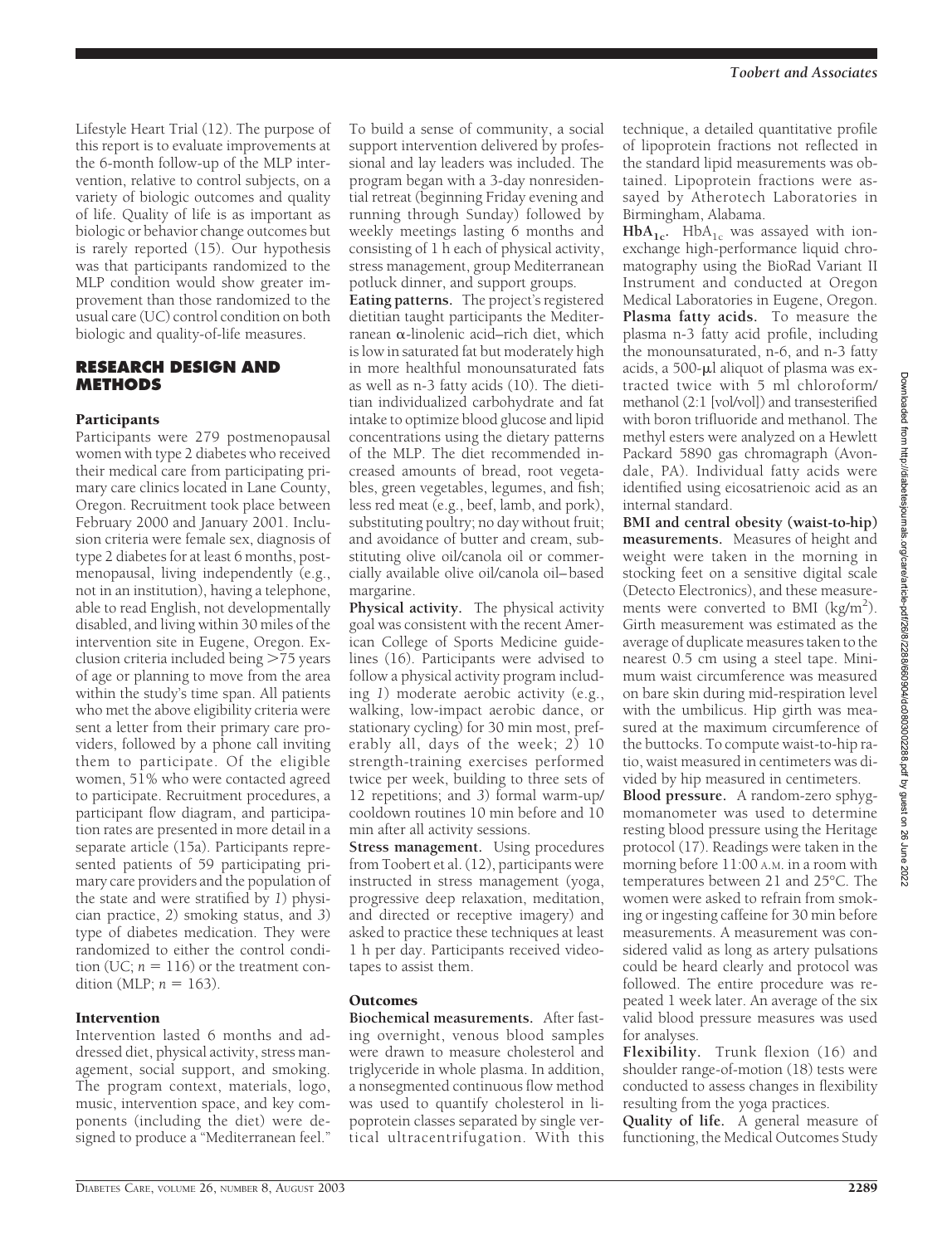Lifestyle Heart Trial (12). The purpose of this report is to evaluate improvements at the 6-month follow-up of the MLP intervention, relative to control subjects, on a variety of biologic outcomes and quality of life. Quality of life is as important as biologic or behavior change outcomes but is rarely reported (15). Our hypothesis was that participants randomized to the MLP condition would show greater improvement than those randomized to the usual care (UC) control condition on both biologic and quality-of-life measures.

# **RESEARCH DESIGN AND METHODS**

# **Participants**

Participants were 279 postmenopausal women with type 2 diabetes who received their medical care from participating primary care clinics located in Lane County, Oregon. Recruitment took place between February 2000 and January 2001. Inclusion criteria were female sex, diagnosis of type 2 diabetes for at least 6 months, postmenopausal, living independently (e.g., not in an institution), having a telephone, able to read English, not developmentally disabled, and living within 30 miles of the intervention site in Eugene, Oregon. Exclusion criteria included being 75 years of age or planning to move from the area within the study's time span. All patients who met the above eligibility criteria were sent a letter from their primary care providers, followed by a phone call inviting them to participate. Of the eligible women, 51% who were contacted agreed to participate. Recruitment procedures, a participant flow diagram, and participation rates are presented in more detail in a separate article (15a). Participants represented patients of 59 participating primary care providers and the population of the state and were stratified by *1*) physician practice, *2*) smoking status, and *3*) type of diabetes medication. They were randomized to either the control condition (UC;  $n = 116$ ) or the treatment condition (MLP;  $n = 163$ ).

# Intervention

Intervention lasted 6 months and addressed diet, physical activity, stress management, social support, and smoking. The program context, materials, logo, music, intervention space, and key components (including the diet) were designed to produce a "Mediterranean feel."

To build a sense of community, a social support intervention delivered by professional and lay leaders was included. The program began with a 3-day nonresidential retreat (beginning Friday evening and running through Sunday) followed by weekly meetings lasting 6 months and consisting of 1 h each of physical activity, stress management, group Mediterranean potluck dinner, and support groups.

**Eating patterns.** The project's registered dietitian taught participants the Mediter $r$ anean  $\alpha$ -linolenic acid–rich diet, which is low in saturated fat but moderately high in more healthful monounsaturated fats as well as n-3 fatty acids (10). The dietitian individualized carbohydrate and fat intake to optimize blood glucose and lipid concentrations using the dietary patterns of the MLP. The diet recommended increased amounts of bread, root vegetables, green vegetables, legumes, and fish; less red meat (e.g., beef, lamb, and pork), substituting poultry; no day without fruit; and avoidance of butter and cream, substituting olive oil/canola oil or commercially available olive oil/canola oil–based margarine.

**Physical activity.** The physical activity goal was consistent with the recent American College of Sports Medicine guidelines (16). Participants were advised to follow a physical activity program including *1*) moderate aerobic activity (e.g., walking, low-impact aerobic dance, or stationary cycling) for 30 min most, preferably all, days of the week; *2*) 10 strength-training exercises performed twice per week, building to three sets of 12 repetitions; and *3*) formal warm-up/ cooldown routines 10 min before and 10 min after all activity sessions.

**Stress management.** Using procedures from Toobert et al. (12), participants were instructed in stress management (yoga, progressive deep relaxation, meditation, and directed or receptive imagery) and asked to practice these techniques at least 1 h per day. Participants received videotapes to assist them.

#### **Outcomes**

**Biochemical measurements.** After fasting overnight, venous blood samples were drawn to measure cholesterol and triglyceride in whole plasma. In addition, a nonsegmented continuous flow method was used to quantify cholesterol in lipoprotein classes separated by single vertical ultracentrifugation. With this technique, a detailed quantitative profile of lipoprotein fractions not reflected in the standard lipid measurements was obtained. Lipoprotein fractions were assayed by Atherotech Laboratories in Birmingham, Alabama.

HbA<sub>1c</sub>. HbA<sub>1c</sub> was assayed with ionexchange high-performance liquid chromatography using the BioRad Variant II Instrument and conducted at Oregon Medical Laboratories in Eugene, Oregon. **Plasma fatty acids.** To measure the plasma n-3 fatty acid profile, including the monounsaturated, n-6, and n-3 fatty acids, a 500- $\mu$ l aliquot of plasma was extracted twice with 5 ml chloroform/ methanol (2:1 [vol/vol]) and transesterified with boron trifluoride and methanol. The methyl esters were analyzed on a Hewlett Packard 5890 gas chromagraph (Avondale, PA). Individual fatty acids were identified using eicosatrienoic acid as an internal standard.

**BMI and central obesity (waist-to-hip) measurements.** Measures of height and weight were taken in the morning in stocking feet on a sensitive digital scale (Detecto Electronics), and these measurements were converted to BMI  $(kg/m<sup>2</sup>)$ . Girth measurement was estimated as the average of duplicate measures taken to the nearest 0.5 cm using a steel tape. Minimum waist circumference was measured on bare skin during mid-respiration level with the umbilicus. Hip girth was measured at the maximum circumference of the buttocks. To compute waist-to-hip ratio, waist measured in centimeters was divided by hip measured in centimeters.

**Blood pressure.** A random-zero sphygmomanometer was used to determine resting blood pressure using the Heritage protocol (17). Readings were taken in the morning before 11:00 A.M. in a room with temperatures between 21 and 25°C. The women were asked to refrain from smoking or ingesting caffeine for 30 min before measurements. A measurement was considered valid as long as artery pulsations could be heard clearly and protocol was followed. The entire procedure was repeated 1 week later. An average of the six valid blood pressure measures was used for analyses.

**Flexibility.** Trunk flexion (16) and shoulder range-of-motion (18) tests were conducted to assess changes in flexibility resulting from the yoga practices.

**Quality of life.** A general measure of functioning, the Medical Outcomes Study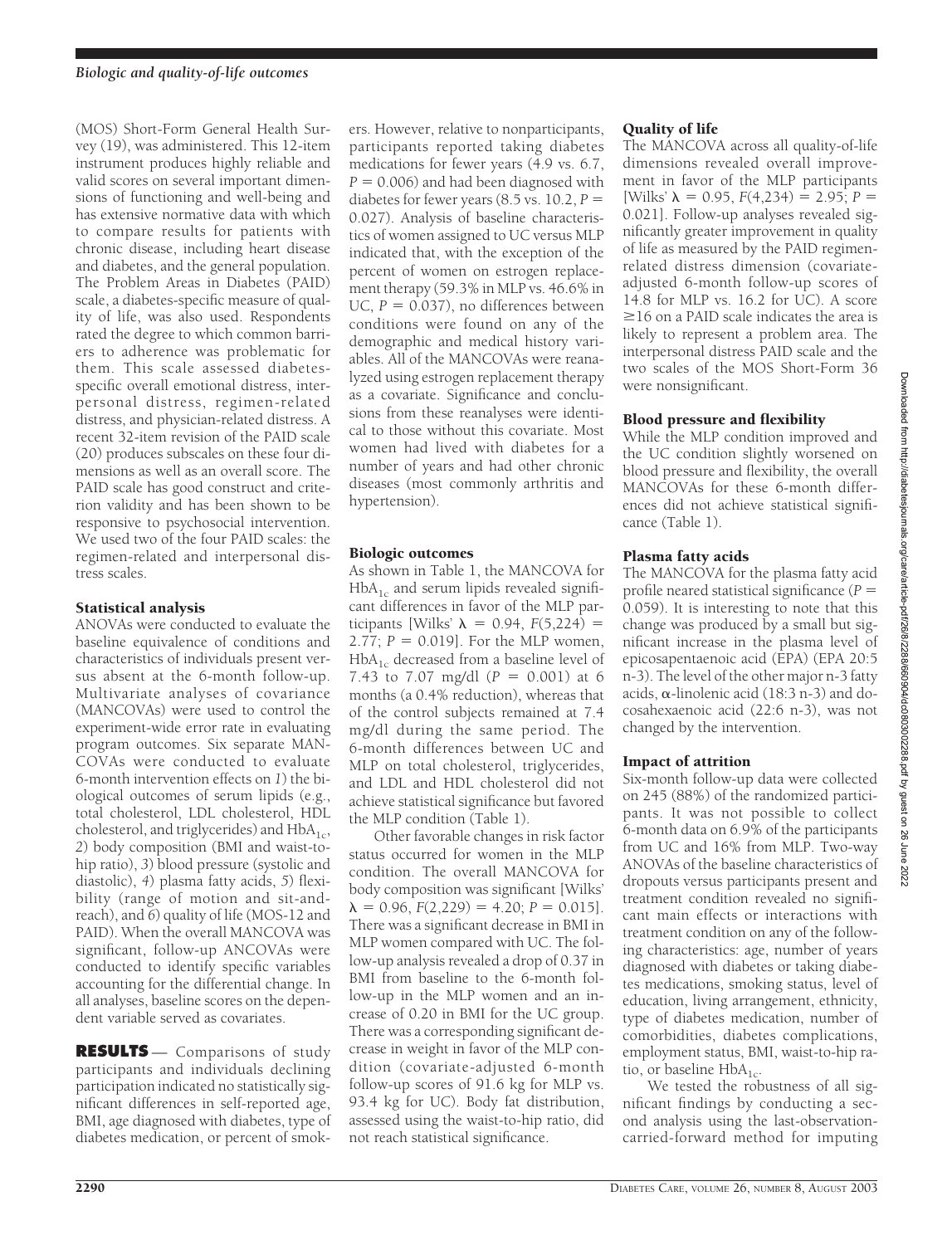(MOS) Short-Form General Health Survey (19), was administered. This 12-item instrument produces highly reliable and valid scores on several important dimensions of functioning and well-being and has extensive normative data with which to compare results for patients with chronic disease, including heart disease and diabetes, and the general population. The Problem Areas in Diabetes (PAID) scale, a diabetes-specific measure of quality of life, was also used. Respondents rated the degree to which common barriers to adherence was problematic for them. This scale assessed diabetesspecific overall emotional distress, interpersonal distress, regimen-related distress, and physician-related distress. A recent 32-item revision of the PAID scale (20) produces subscales on these four dimensions as well as an overall score. The PAID scale has good construct and criterion validity and has been shown to be responsive to psychosocial intervention. We used two of the four PAID scales: the regimen-related and interpersonal distress scales.

#### Statistical analysis

ANOVAs were conducted to evaluate the baseline equivalence of conditions and characteristics of individuals present versus absent at the 6-month follow-up. Multivariate analyses of covariance (MANCOVAs) were used to control the experiment-wide error rate in evaluating program outcomes. Six separate MAN-COVAs were conducted to evaluate 6-month intervention effects on *1*) the biological outcomes of serum lipids (e.g., total cholesterol, LDL cholesterol, HDL cholesterol, and triglycerides) and  $HbA_{1c}$ , *2*) body composition (BMI and waist-tohip ratio), *3*) blood pressure (systolic and diastolic), *4*) plasma fatty acids, *5*) flexibility (range of motion and sit-andreach), and *6*) quality of life (MOS-12 and PAID). When the overall MANCOVA was significant, follow-up ANCOVAs were conducted to identify specific variables accounting for the differential change. In all analyses, baseline scores on the dependent variable served as covariates.

**RESULTS** — Comparisons of study participants and individuals declining participation indicated no statistically significant differences in self-reported age, BMI, age diagnosed with diabetes, type of diabetes medication, or percent of smokers. However, relative to nonparticipants, participants reported taking diabetes medications for fewer years (4.9 vs. 6.7,  $P = 0.006$ ) and had been diagnosed with diabetes for fewer years  $(8.5 \text{ vs. } 10.2, P =$ 0.027). Analysis of baseline characteristics of women assigned to UC versus MLP indicated that, with the exception of the percent of women on estrogen replacement therapy (59.3% in MLP vs. 46.6% in UC,  $P = 0.037$ ), no differences between conditions were found on any of the demographic and medical history variables. All of the MANCOVAs were reanalyzed using estrogen replacement therapy as a covariate. Significance and conclusions from these reanalyses were identical to those without this covariate. Most women had lived with diabetes for a number of years and had other chronic diseases (most commonly arthritis and hypertension).

#### Biologic outcomes

As shown in Table 1, the MANCOVA for  $HbA_{1c}$  and serum lipids revealed significant differences in favor of the MLP participants [Wilks'  $\lambda$  = 0.94,  $F(5,224)$  = 2.77;  $P = 0.019$ . For the MLP women,  $HbA_{1c}$  decreased from a baseline level of 7.43 to 7.07 mg/dl  $(P = 0.001)$  at 6 months (a 0.4% reduction), whereas that of the control subjects remained at 7.4 mg/dl during the same period. The 6-month differences between UC and MLP on total cholesterol, triglycerides, and LDL and HDL cholesterol did not achieve statistical significance but favored the MLP condition (Table 1).

Other favorable changes in risk factor status occurred for women in the MLP condition. The overall MANCOVA for body composition was significant [Wilks'  $\lambda = 0.96, F(2,229) = 4.20; P = 0.015$ . There was a significant decrease in BMI in MLP women compared with UC. The follow-up analysis revealed a drop of 0.37 in BMI from baseline to the 6-month follow-up in the MLP women and an increase of 0.20 in BMI for the UC group. There was a corresponding significant decrease in weight in favor of the MLP condition (covariate-adjusted 6-month follow-up scores of 91.6 kg for MLP vs. 93.4 kg for UC). Body fat distribution, assessed using the waist-to-hip ratio, did not reach statistical significance.

# Quality of life

The MANCOVA across all quality-of-life dimensions revealed overall improvement in favor of the MLP participants [Wilks'  $\lambda = 0.95$ ,  $F(4,234) = 2.95$ ;  $P =$ 0.021]. Follow-up analyses revealed significantly greater improvement in quality of life as measured by the PAID regimenrelated distress dimension (covariateadjusted 6-month follow-up scores of 14.8 for MLP vs. 16.2 for UC). A score  $\geq$ 16 on a PAID scale indicates the area is likely to represent a problem area. The interpersonal distress PAID scale and the two scales of the MOS Short-Form 36 were nonsignificant.

#### Blood pressure and flexibility

While the MLP condition improved and the UC condition slightly worsened on blood pressure and flexibility, the overall MANCOVAs for these 6-month differences did not achieve statistical significance (Table 1).

# Plasma fatty acids

The MANCOVA for the plasma fatty acid profile neared statistical significance (*P* 0.059). It is interesting to note that this change was produced by a small but significant increase in the plasma level of epicosapentaenoic acid (EPA) (EPA 20:5 n-3). The level of the other major n-3 fatty acids,  $\alpha$ -linolenic acid (18:3 n-3) and docosahexaenoic acid (22:6 n-3), was not changed by the intervention.

# Impact of attrition

Six-month follow-up data were collected on 245 (88%) of the randomized participants. It was not possible to collect 6-month data on 6.9% of the participants from UC and 16% from MLP. Two-way ANOVAs of the baseline characteristics of dropouts versus participants present and treatment condition revealed no significant main effects or interactions with treatment condition on any of the following characteristics: age, number of years diagnosed with diabetes or taking diabetes medications, smoking status, level of education, living arrangement, ethnicity, type of diabetes medication, number of comorbidities, diabetes complications, employment status, BMI, waist-to-hip ratio, or baseline  $HbA_{1c}$ .

We tested the robustness of all significant findings by conducting a second analysis using the last-observationcarried-forward method for imputing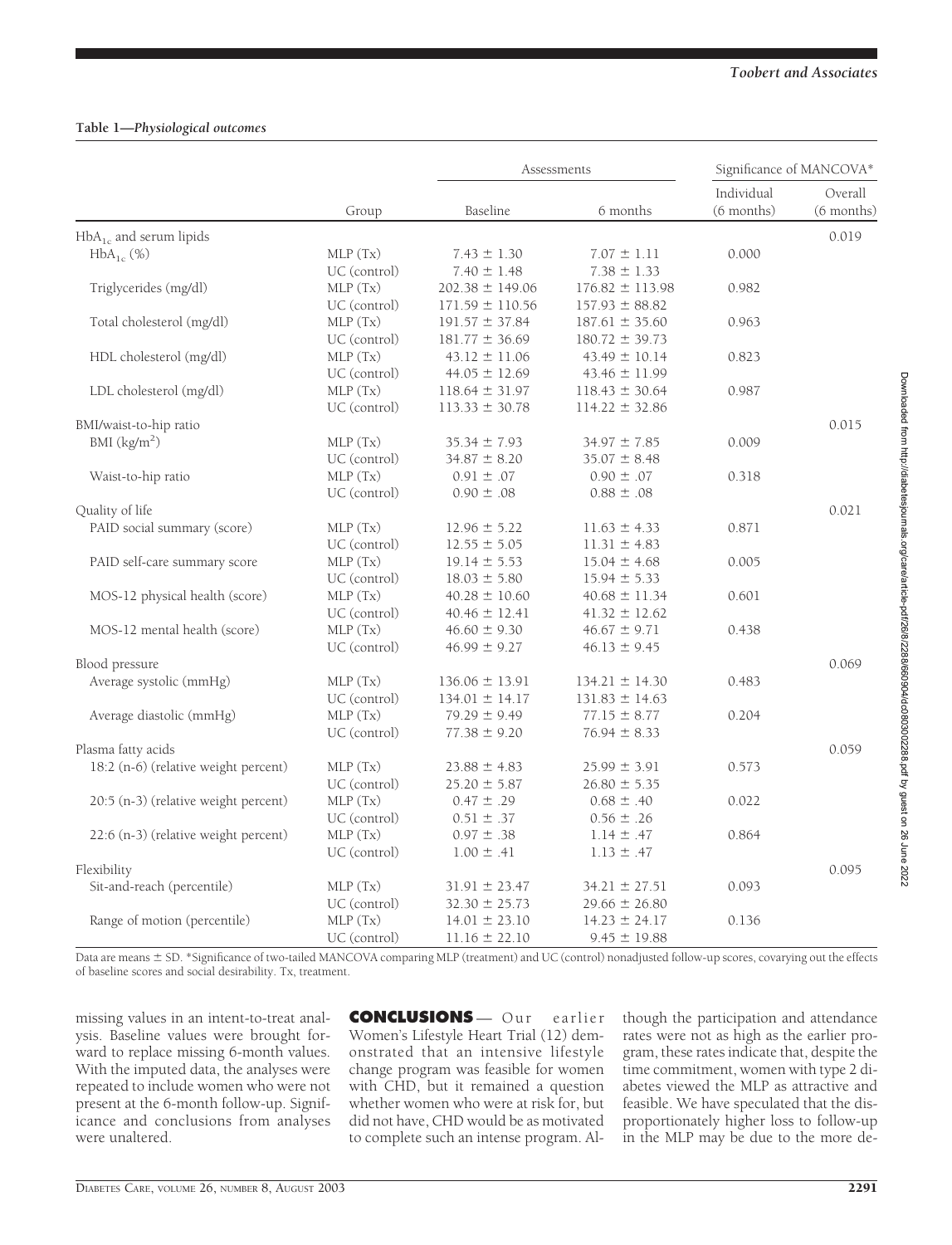# **Table 1—***Physiological outcomes*

|                                      | Group        | Assessments         |                     | Significance of MANCOVA*   |                       |
|--------------------------------------|--------------|---------------------|---------------------|----------------------------|-----------------------|
|                                      |              | Baseline            | 6 months            | Individual<br>$(6$ months) | Overall<br>(6 months) |
| $HbA_{1c}$ and serum lipids          |              |                     |                     |                            | 0.019                 |
| $HbA_{1c}$ (%)                       | MLP(Tx)      | $7.43 \pm 1.30$     | $7.07 \pm 1.11$     | 0.000                      |                       |
|                                      | UC (control) | $7.40 \pm 1.48$     | $7.38 \pm 1.33$     |                            |                       |
| Triglycerides (mg/dl)                | MLP(Tx)      | $202.38 \pm 149.06$ | $176.82 \pm 113.98$ | 0.982                      |                       |
|                                      | UC (control) | $171.59 \pm 110.56$ | $157.93 \pm 88.82$  |                            |                       |
| Total cholesterol (mg/dl)            | MLP(Tx)      | $191.57 \pm 37.84$  | $187.61 \pm 35.60$  | 0.963                      |                       |
|                                      | UC (control) | $181.77 \pm 36.69$  | $180.72 \pm 39.73$  |                            |                       |
| HDL cholesterol (mg/dl)              | MLP(Tx)      |                     |                     | 0.823                      |                       |
|                                      | UC (control) | $43.12 \pm 11.06$   | $43.49 \pm 10.14$   |                            |                       |
|                                      |              | $44.05 \pm 12.69$   | $43.46 \pm 11.99$   |                            |                       |
| LDL cholesterol (mg/dl)              | MLP(Tx)      | $118.64 \pm 31.97$  | $118.43 \pm 30.64$  | 0.987                      |                       |
|                                      | UC (control) | $113.33 \pm 30.78$  | $114.22 \pm 32.86$  |                            |                       |
| BMI/waist-to-hip ratio               |              |                     |                     |                            | 0.015                 |
| BMI $(kg/m2)$                        | MLP(Tx)      | $35.34 \pm 7.93$    | $34.97 \pm 7.85$    | 0.009                      |                       |
|                                      | UC (control) | $34.87 \pm 8.20$    | $35.07 \pm 8.48$    |                            |                       |
| Waist-to-hip ratio                   | MLP(Tx)      | $0.91 \pm .07$      | $0.90 \pm .07$      | 0.318                      |                       |
|                                      | UC (control) | $0.90 \pm .08$      | $0.88 \pm .08$      |                            |                       |
| Quality of life                      |              |                     |                     |                            | 0.021                 |
| PAID social summary (score)          | MLP(Tx)      | $12.96 \pm 5.22$    | $11.63 \pm 4.33$    | 0.871                      |                       |
|                                      | UC (control) | $12.55 \pm 5.05$    | $11.31 \pm 4.83$    |                            |                       |
| PAID self-care summary score         | MLP(Tx)      | $19.14 \pm 5.53$    | $15.04 \pm 4.68$    | 0.005                      |                       |
|                                      | UC (control) | $18.03 \pm 5.80$    | $15.94 \pm 5.33$    |                            |                       |
| MOS-12 physical health (score)       | MLP(Tx)      | $40.28 \pm 10.60$   | $40.68 \pm 11.34$   | 0.601                      |                       |
|                                      | UC (control) | $40.46 \pm 12.41$   | $41.32 \pm 12.62$   |                            |                       |
| MOS-12 mental health (score)         | MLP(Tx)      | $46.60 \pm 9.30$    | $46.67 \pm 9.71$    | 0.438                      |                       |
|                                      | UC (control) | $46.99 \pm 9.27$    | $46.13 \pm 9.45$    |                            |                       |
| Blood pressure                       |              |                     |                     |                            | 0.069                 |
| Average systolic (mmHg)              | MLP(Tx)      | $136.06 \pm 13.91$  | $134.21 \pm 14.30$  | 0.483                      |                       |
|                                      | UC (control) | $134.01 \pm 14.17$  | $131.83 \pm 14.63$  |                            |                       |
| Average diastolic (mmHg)             | MLP(Tx)      | $79.29 \pm 9.49$    | $77.15 \pm 8.77$    | 0.204                      |                       |
|                                      | UC (control) | $77.38 \pm 9.20$    | $76.94 \pm 8.33$    |                            |                       |
| Plasma fatty acids                   |              |                     |                     |                            | 0.059                 |
| 18:2 (n-6) (relative weight percent) | MLP(Tx)      | $23.88 \pm 4.83$    | $25.99 \pm 3.91$    | 0.573                      |                       |
|                                      | UC (control) | $25.20 \pm 5.87$    | $26.80 \pm 5.35$    |                            |                       |
| 20:5 (n-3) (relative weight percent) |              |                     |                     |                            |                       |
|                                      | MLP(Tx)      | $0.47 \pm .29$      | $0.68 \pm .40$      | 0.022                      |                       |
| 22:6 (n-3) (relative weight percent) | UC (control) | $0.51 \pm .37$      | $0.56 \pm .26$      |                            |                       |
|                                      | MLP(Tx)      | $0.97 \pm .38$      | $1.14 \pm .47$      | 0.864                      |                       |
|                                      | UC (control) | $1.00 \pm .41$      | $1.13 \pm .47$      |                            |                       |
| Flexibility                          |              |                     |                     |                            | 0.095                 |
| Sit-and-reach (percentile)           | MLP (Tx)     | $31.91 \pm 23.47$   | $34.21 \pm 27.51$   | 0.093                      |                       |
|                                      | UC (control) | $32.30 \pm 25.73$   | $29.66 \pm 26.80$   |                            |                       |
| Range of motion (percentile)         | MLP(Tx)      | $14.01 \pm 23.10$   | $14.23 \pm 24.17$   | 0.136                      |                       |
|                                      | UC (control) | $11.16 \pm 22.10$   | $9.45 \pm 19.88$    |                            |                       |

Data are means  $\pm$  SD. \*Significance of two-tailed MANCOVA comparing MLP (treatment) and UC (control) nonadjusted follow-up scores, covarying out the effects of baseline scores and social desirability. Tx, treatment.

missing values in an intent-to-treat analysis. Baseline values were brought forward to replace missing 6-month values. With the imputed data, the analyses were repeated to include women who were not present at the 6-month follow-up. Significance and conclusions from analyses were unaltered.

**CONCLUSIONS** — Our earlier Women's Lifestyle Heart Trial (12) demonstrated that an intensive lifestyle change program was feasible for women with CHD, but it remained a question whether women who were at risk for, but did not have, CHD would be as motivated to complete such an intense program. Al-

though the participation and attendance rates were not as high as the earlier program, these rates indicate that, despite the time commitment, women with type 2 diabetes viewed the MLP as attractive and feasible. We have speculated that the disproportionately higher loss to follow-up in the MLP may be due to the more de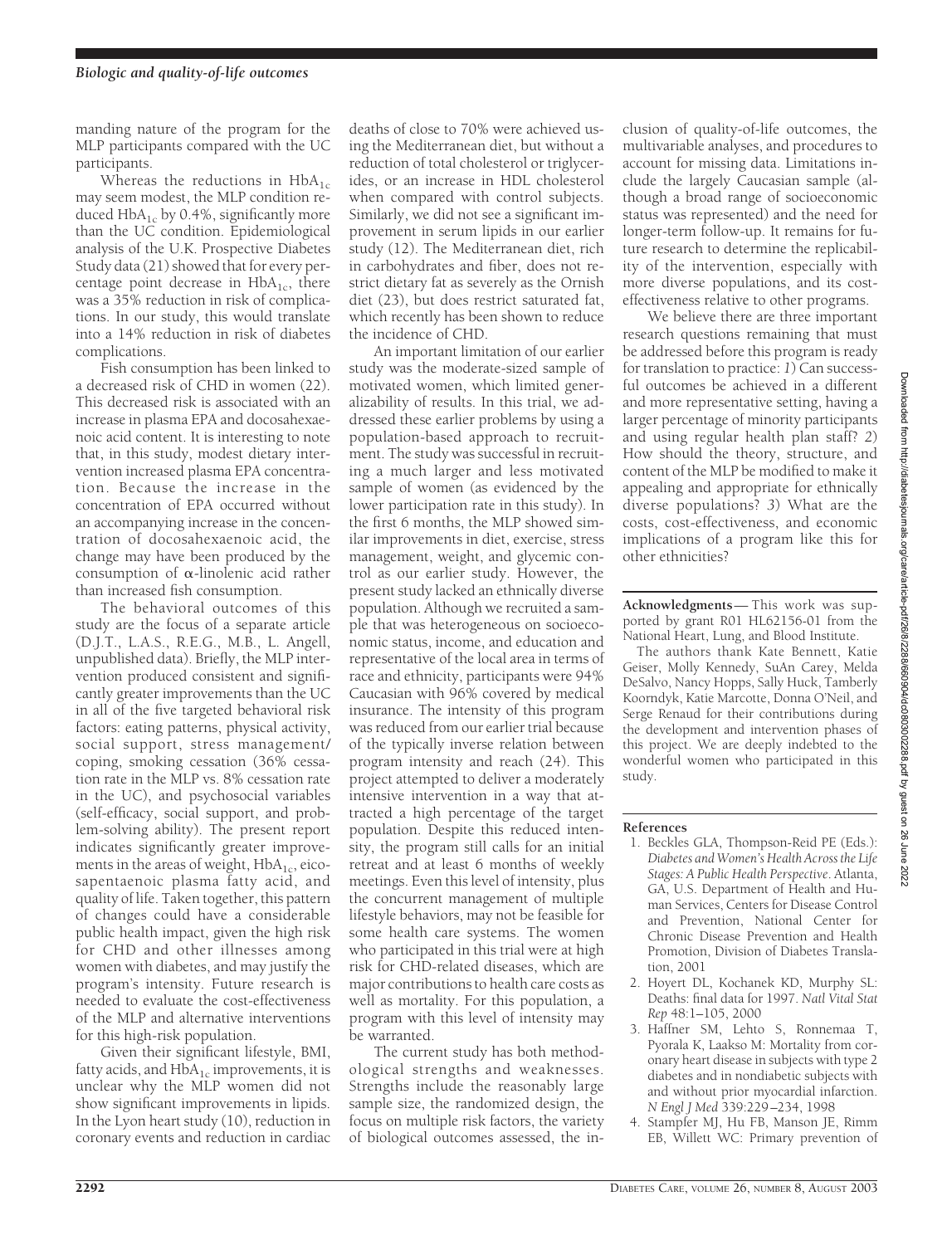manding nature of the program for the MLP participants compared with the UC participants.

Whereas the reductions in  $HbA_{1c}$ may seem modest, the MLP condition reduced  $HbA_{1c}$  by 0.4%, significantly more than the UC condition. Epidemiological analysis of the U.K. Prospective Diabetes Study data (21) showed that for every percentage point decrease in  $HbA_{1c}$ , there was a 35% reduction in risk of complications. In our study, this would translate into a 14% reduction in risk of diabetes complications.

Fish consumption has been linked to a decreased risk of CHD in women (22). This decreased risk is associated with an increase in plasma EPA and docosahexaenoic acid content. It is interesting to note that, in this study, modest dietary intervention increased plasma EPA concentration. Because the increase in the concentration of EPA occurred without an accompanying increase in the concentration of docosahexaenoic acid, the change may have been produced by the consumption of  $\alpha$ -linolenic acid rather than increased fish consumption.

The behavioral outcomes of this study are the focus of a separate article (D.J.T., L.A.S., R.E.G., M.B., L. Angell, unpublished data). Briefly, the MLP intervention produced consistent and significantly greater improvements than the UC in all of the five targeted behavioral risk factors: eating patterns, physical activity, social support, stress management/ coping, smoking cessation (36% cessation rate in the MLP vs. 8% cessation rate in the UC), and psychosocial variables (self-efficacy, social support, and problem-solving ability). The present report indicates significantly greater improvements in the areas of weight,  $HbA_{1c}$ , eicosapentaenoic plasma fatty acid, and quality of life. Taken together, this pattern of changes could have a considerable public health impact, given the high risk for CHD and other illnesses among women with diabetes, and may justify the program's intensity. Future research is needed to evaluate the cost-effectiveness of the MLP and alternative interventions for this high-risk population.

Given their significant lifestyle, BMI, fatty acids, and  $HbA_{1c}$  improvements, it is unclear why the MLP women did not show significant improvements in lipids. In the Lyon heart study (10), reduction in coronary events and reduction in cardiac

deaths of close to 70% were achieved using the Mediterranean diet, but without a reduction of total cholesterol or triglycerides, or an increase in HDL cholesterol when compared with control subjects. Similarly, we did not see a significant improvement in serum lipids in our earlier study (12). The Mediterranean diet, rich in carbohydrates and fiber, does not restrict dietary fat as severely as the Ornish diet (23), but does restrict saturated fat, which recently has been shown to reduce the incidence of CHD.

An important limitation of our earlier study was the moderate-sized sample of motivated women, which limited generalizability of results. In this trial, we addressed these earlier problems by using a population-based approach to recruitment. The study was successful in recruiting a much larger and less motivated sample of women (as evidenced by the lower participation rate in this study). In the first 6 months, the MLP showed similar improvements in diet, exercise, stress management, weight, and glycemic control as our earlier study. However, the present study lacked an ethnically diverse population. Although we recruited a sample that was heterogeneous on socioeconomic status, income, and education and representative of the local area in terms of race and ethnicity, participants were 94% Caucasian with 96% covered by medical insurance. The intensity of this program was reduced from our earlier trial because of the typically inverse relation between program intensity and reach (24). This project attempted to deliver a moderately intensive intervention in a way that attracted a high percentage of the target population. Despite this reduced intensity, the program still calls for an initial retreat and at least 6 months of weekly meetings. Even this level of intensity, plus the concurrent management of multiple lifestyle behaviors, may not be feasible for some health care systems. The women who participated in this trial were at high risk for CHD-related diseases, which are major contributions to health care costs as well as mortality. For this population, a program with this level of intensity may be warranted.

The current study has both methodological strengths and weaknesses. Strengths include the reasonably large sample size, the randomized design, the focus on multiple risk factors, the variety of biological outcomes assessed, the in-

clusion of quality-of-life outcomes, the multivariable analyses, and procedures to account for missing data. Limitations include the largely Caucasian sample (although a broad range of socioeconomic status was represented) and the need for longer-term follow-up. It remains for future research to determine the replicability of the intervention, especially with more diverse populations, and its costeffectiveness relative to other programs.

We believe there are three important research questions remaining that must be addressed before this program is ready for translation to practice: *1*) Can successful outcomes be achieved in a different and more representative setting, having a larger percentage of minority participants and using regular health plan staff? *2*) How should the theory, structure, and content of the MLP be modified to make it appealing and appropriate for ethnically diverse populations? *3*) What are the costs, cost-effectiveness, and economic implications of a program like this for other ethnicities?

**Acknowledgments**— This work was supported by grant R01 HL62156-01 from the National Heart, Lung, and Blood Institute.

The authors thank Kate Bennett, Katie Geiser, Molly Kennedy, SuAn Carey, Melda DeSalvo, Nancy Hopps, Sally Huck, Tamberly Koorndyk, Katie Marcotte, Donna O'Neil, and Serge Renaud for their contributions during the development and intervention phases of this project. We are deeply indebted to the wonderful women who participated in this study.

#### **References**

- 1. Beckles GLA, Thompson-Reid PE (Eds.): *Diabetes and Women's Health Across the Life Stages: A Public Health Perspective*. Atlanta, GA, U.S. Department of Health and Human Services, Centers for Disease Control and Prevention, National Center for Chronic Disease Prevention and Health Promotion, Division of Diabetes Translation, 2001
- 2. Hoyert DL, Kochanek KD, Murphy SL: Deaths: final data for 1997. *Natl Vital Stat Rep* 48:1–105, 2000
- 3. Haffner SM, Lehto S, Ronnemaa T, Pyorala K, Laakso M: Mortality from coronary heart disease in subjects with type 2 diabetes and in nondiabetic subjects with and without prior myocardial infarction. *N Engl J Med* 339:229–234, 1998
- 4. Stampfer MJ, Hu FB, Manson JE, Rimm EB, Willett WC: Primary prevention of